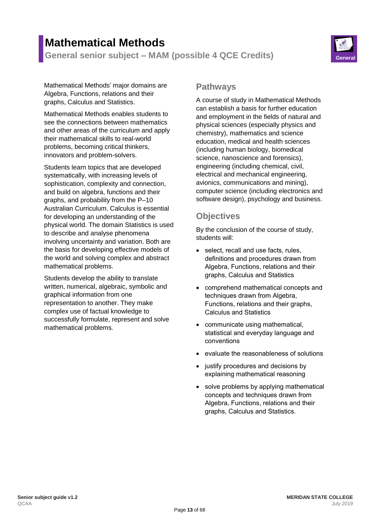# **Mathematical Methods**

**General senior subject – MAM (possible 4 QCE Credits) General**



Mathematical Methods' major domains are Algebra, Functions, relations and their graphs, Calculus and Statistics.

Mathematical Methods enables students to see the connections between mathematics and other areas of the curriculum and apply their mathematical skills to real-world problems, becoming critical thinkers, innovators and problem-solvers.

Students learn topics that are developed systematically, with increasing levels of sophistication, complexity and connection, and build on algebra, functions and their graphs, and probability from the P–10 Australian Curriculum. Calculus is essential for developing an understanding of the physical world. The domain Statistics is used to describe and analyse phenomena involving uncertainty and variation. Both are the basis for developing effective models of the world and solving complex and abstract mathematical problems.

Students develop the ability to translate written, numerical, algebraic, symbolic and graphical information from one representation to another. They make complex use of factual knowledge to successfully formulate, represent and solve mathematical problems.

#### **Pathways**

A course of study in Mathematical Methods can establish a basis for further education and employment in the fields of natural and physical sciences (especially physics and chemistry), mathematics and science education, medical and health sciences (including human biology, biomedical science, nanoscience and forensics), engineering (including chemical, civil, electrical and mechanical engineering, avionics, communications and mining), computer science (including electronics and software design), psychology and business.

## **Objectives**

By the conclusion of the course of study, students will:

- select, recall and use facts, rules, definitions and procedures drawn from Algebra, Functions, relations and their graphs, Calculus and Statistics
- comprehend mathematical concepts and techniques drawn from Algebra, Functions, relations and their graphs, Calculus and Statistics
- communicate using mathematical, statistical and everyday language and conventions
- evaluate the reasonableness of solutions
- justify procedures and decisions by explaining mathematical reasoning
- solve problems by applying mathematical concepts and techniques drawn from Algebra, Functions, relations and their graphs, Calculus and Statistics.